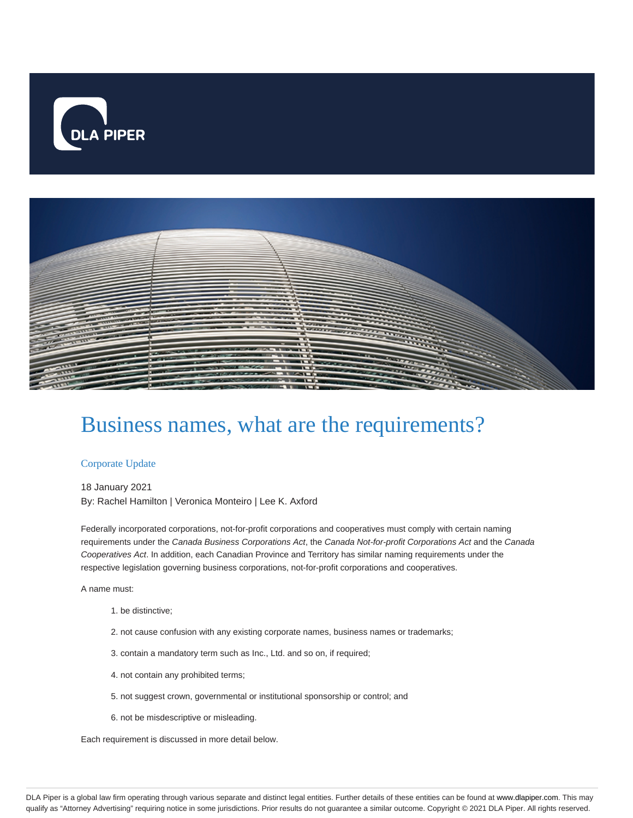



# Business names, what are the requirements?

#### Corporate Update

18 January 2021 By: Rachel Hamilton | Veronica Monteiro | Lee K. Axford

Federally incorporated corporations, not-for-profit corporations and cooperatives must comply with certain naming requirements under the Canada Business Corporations Act, the Canada Not-for-profit Corporations Act and the Canada Cooperatives Act. In addition, each Canadian Province and Territory has similar naming requirements under the respective legislation governing business corporations, not-for-profit corporations and cooperatives.

A name must:

- 1. be distinctive;
- 2. not cause confusion with any existing corporate names, business names or trademarks;
- 3. contain a mandatory term such as Inc., Ltd. and so on, if required;
- 4. not contain any prohibited terms;
- 5. not suggest crown, governmental or institutional sponsorship or control; and
- 6. not be misdescriptive or misleading.

Each requirement is discussed in more detail below.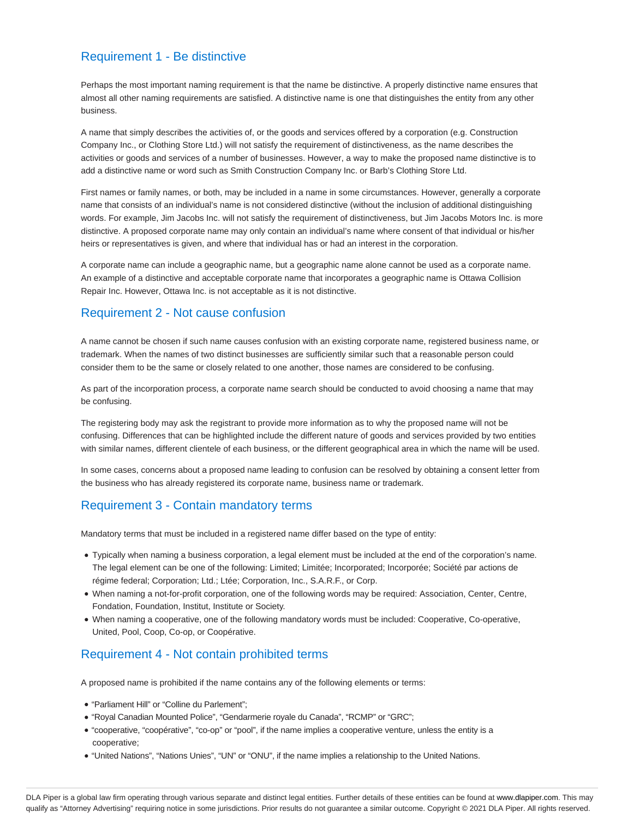## Requirement 1 - Be distinctive

Perhaps the most important naming requirement is that the name be distinctive. A properly distinctive name ensures that almost all other naming requirements are satisfied. A distinctive name is one that distinguishes the entity from any other business.

A name that simply describes the activities of, or the goods and services offered by a corporation (e.g. Construction Company Inc., or Clothing Store Ltd.) will not satisfy the requirement of distinctiveness, as the name describes the activities or goods and services of a number of businesses. However, a way to make the proposed name distinctive is to add a distinctive name or word such as Smith Construction Company Inc. or Barb's Clothing Store Ltd.

First names or family names, or both, may be included in a name in some circumstances. However, generally a corporate name that consists of an individual's name is not considered distinctive (without the inclusion of additional distinguishing words. For example, Jim Jacobs Inc. will not satisfy the requirement of distinctiveness, but Jim Jacobs Motors Inc. is more distinctive. A proposed corporate name may only contain an individual's name where consent of that individual or his/her heirs or representatives is given, and where that individual has or had an interest in the corporation.

A corporate name can include a geographic name, but a geographic name alone cannot be used as a corporate name. An example of a distinctive and acceptable corporate name that incorporates a geographic name is Ottawa Collision Repair Inc. However, Ottawa Inc. is not acceptable as it is not distinctive.

## Requirement 2 - Not cause confusion

A name cannot be chosen if such name causes confusion with an existing corporate name, registered business name, or trademark. When the names of two distinct businesses are sufficiently similar such that a reasonable person could consider them to be the same or closely related to one another, those names are considered to be confusing.

As part of the incorporation process, a corporate name search should be conducted to avoid choosing a name that may be confusing.

The registering body may ask the registrant to provide more information as to why the proposed name will not be confusing. Differences that can be highlighted include the different nature of goods and services provided by two entities with similar names, different clientele of each business, or the different geographical area in which the name will be used.

In some cases, concerns about a proposed name leading to confusion can be resolved by obtaining a consent letter from the business who has already registered its corporate name, business name or trademark.

## Requirement 3 - Contain mandatory terms

Mandatory terms that must be included in a registered name differ based on the type of entity:

- Typically when naming a business corporation, a legal element must be included at the end of the corporation's name. The legal element can be one of the following: Limited; Limitée; Incorporated; Incorporée; Société par actions de régime federal; Corporation; Ltd.; Ltée; Corporation, Inc., S.A.R.F., or Corp.
- When naming a not-for-profit corporation, one of the following words may be required: Association, Center, Centre, Fondation, Foundation, Institut, Institute or Society.
- When naming a cooperative, one of the following mandatory words must be included: Cooperative, Co-operative, United, Pool, Coop, Co-op, or Coopérative.

#### Requirement 4 - Not contain prohibited terms

A proposed name is prohibited if the name contains any of the following elements or terms:

- "Parliament Hill" or "Colline du Parlement";
- "Royal Canadian Mounted Police", "Gendarmerie royale du Canada", "RCMP" or "GRC";
- "cooperative, "coopérative", "co-op" or "pool", if the name implies a cooperative venture, unless the entity is a cooperative;
- "United Nations", "Nations Unies", "UN" or "ONU", if the name implies a relationship to the United Nations.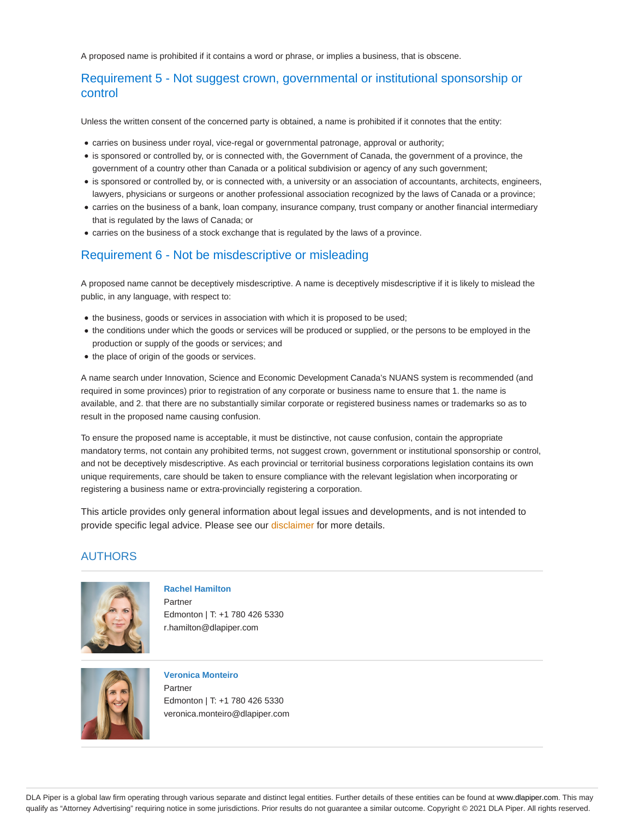A proposed name is prohibited if it contains a word or phrase, or implies a business, that is obscene.

# Requirement 5 - Not suggest crown, governmental or institutional sponsorship or control

Unless the written consent of the concerned party is obtained, a name is prohibited if it connotes that the entity:

- carries on business under royal, vice-regal or governmental patronage, approval or authority;
- is sponsored or controlled by, or is connected with, the Government of Canada, the government of a province, the government of a country other than Canada or a political subdivision or agency of any such government;
- is sponsored or controlled by, or is connected with, a university or an association of accountants, architects, engineers, lawyers, physicians or surgeons or another professional association recognized by the laws of Canada or a province;
- carries on the business of a bank, loan company, insurance company, trust company or another financial intermediary that is regulated by the laws of Canada; or
- carries on the business of a stock exchange that is regulated by the laws of a province.

## Requirement 6 - Not be misdescriptive or misleading

A proposed name cannot be deceptively misdescriptive. A name is deceptively misdescriptive if it is likely to mislead the public, in any language, with respect to:

- the business, goods or services in association with which it is proposed to be used;
- the conditions under which the goods or services will be produced or supplied, or the persons to be employed in the production or supply of the goods or services; and
- $\bullet$  the place of origin of the goods or services.

A name search under Innovation, Science and Economic Development Canada's NUANS system is recommended (and required in some provinces) prior to registration of any corporate or business name to ensure that 1. the name is available, and 2. that there are no substantially similar corporate or registered business names or trademarks so as to result in the proposed name causing confusion.

To ensure the proposed name is acceptable, it must be distinctive, not cause confusion, contain the appropriate mandatory terms, not contain any prohibited terms, not suggest crown, government or institutional sponsorship or control, and not be deceptively misdescriptive. As each provincial or territorial business corporations legislation contains its own unique requirements, care should be taken to ensure compliance with the relevant legislation when incorporating or registering a business name or extra-provincially registering a corporation.

This article provides only general information about legal issues and developments, and is not intended to provide specific legal advice. Please see our disclaimer for more details.

#### AUTHORS



**Rachel Hamilton** Partner Edmonton | T: +1 780 426 5330

r.hamilton@dlapiper.com



#### **Veronica Monteiro**

Partner Edmonton | T: +1 780 426 5330 veronica.monteiro@dlapiper.com

DLA Piper is a global law firm operating through various separate and distinct legal entities. Further details of these entities can be found at www.dlapiper.com. This may qualify as "Attorney Advertising" requiring notice in some jurisdictions. Prior results do not guarantee a similar outcome. Copyright © 2021 DLA Piper. All rights reserved.